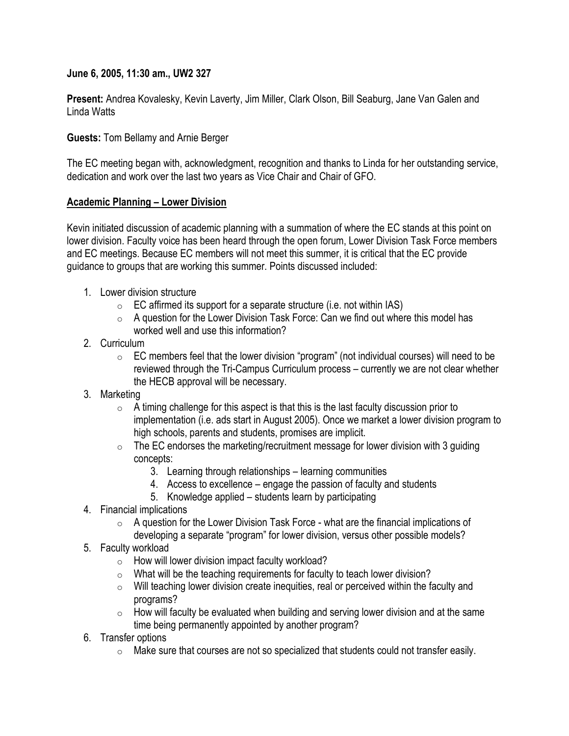**June 6, 2005, 11:30 am., UW2 327**

**Present:** Andrea Kovalesky, Kevin Laverty, Jim Miller, Clark Olson, Bill Seaburg, Jane Van Galen and Linda Watts

**Guests:** Tom Bellamy and Arnie Berger

The EC meeting began with, acknowledgment, recognition and thanks to Linda for her outstanding service, dedication and work over the last two years as Vice Chair and Chair of GFO.

#### **Academic Planning – Lower Division**

Kevin initiated discussion of academic planning with a summation of where the EC stands at this point on lower division. Faculty voice has been heard through the open forum, Lower Division Task Force members and EC meetings. Because EC members will not meet this summer, it is critical that the EC provide guidance to groups that are working this summer. Points discussed included:

- 1. Lower division structure
	- $\circ$  EC affirmed its support for a separate structure (i.e. not within IAS)
	- $\circ$  A question for the Lower Division Task Force: Can we find out where this model has worked well and use this information?
- 2. Curriculum
	- $\circ$  EC members feel that the lower division "program" (not individual courses) will need to be reviewed through the Tri-Campus Curriculum process – currently we are not clear whether the HECB approval will be necessary.
- 3. Marketing
	- $\circ$  A timing challenge for this aspect is that this is the last faculty discussion prior to implementation (i.e. ads start in August 2005). Once we market a lower division program to high schools, parents and students, promises are implicit.
	- $\circ$  The EC endorses the marketing/recruitment message for lower division with 3 guiding concepts:
		- 3. Learning through relationships learning communities
		- 4. Access to excellence engage the passion of faculty and students
		- 5. Knowledge applied students learn by participating
- 4. Financial implications
	- $\circ$  A question for the Lower Division Task Force what are the financial implications of developing a separate "program" for lower division, versus other possible models?
- 5. Faculty workload
	- $\circ$  How will lower division impact faculty workload?
	- $\circ$  What will be the teaching requirements for faculty to teach lower division?
	- $\circ$  Will teaching lower division create inequities, real or perceived within the faculty and programs?
	- $\circ$  How will faculty be evaluated when building and serving lower division and at the same time being permanently appointed by another program?
- 6. Transfer options
	- $\circ$  Make sure that courses are not so specialized that students could not transfer easily.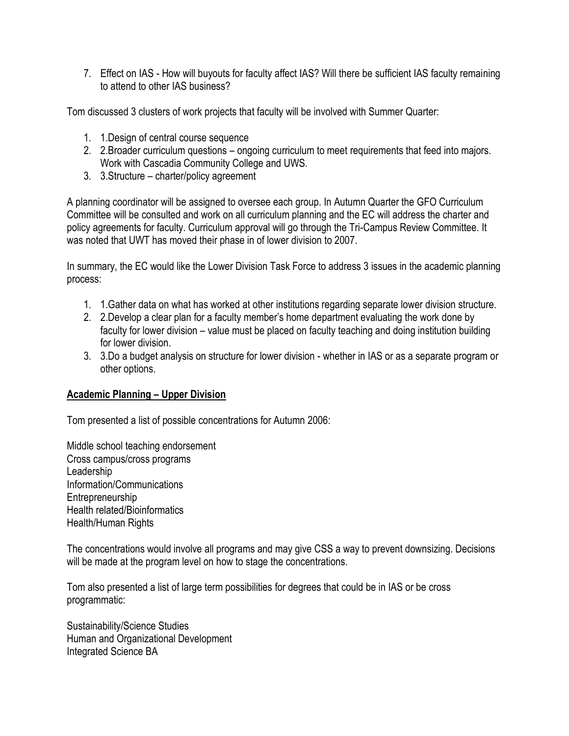7. Effect on IAS - How will buyouts for faculty affect IAS? Will there be sufficient IAS faculty remaining to attend to other IAS business?

Tom discussed 3 clusters of work projects that faculty will be involved with Summer Quarter:

- 1. 1.Design of central course sequence
- 2. 2.Broader curriculum questions ongoing curriculum to meet requirements that feed into majors. Work with Cascadia Community College and UWS.
- 3. 3.Structure charter/policy agreement

A planning coordinator will be assigned to oversee each group. In Autumn Quarter the GFO Curriculum Committee will be consulted and work on all curriculum planning and the EC will address the charter and policy agreements for faculty. Curriculum approval will go through the Tri-Campus Review Committee. It was noted that UWT has moved their phase in of lower division to 2007.

In summary, the EC would like the Lower Division Task Force to address 3 issues in the academic planning process:

- 1. 1.Gather data on what has worked at other institutions regarding separate lower division structure.
- 2. 2.Develop a clear plan for a faculty member's home department evaluating the work done by faculty for lower division – value must be placed on faculty teaching and doing institution building for lower division.
- 3. 3.Do a budget analysis on structure for lower division whether in IAS or as a separate program or other options.

# **Academic Planning – Upper Division**

Tom presented a list of possible concentrations for Autumn 2006:

Middle school teaching endorsement Cross campus/cross programs Leadership Information/Communications **Entrepreneurship** Health related/Bioinformatics Health/Human Rights

The concentrations would involve all programs and may give CSS a way to prevent downsizing. Decisions will be made at the program level on how to stage the concentrations.

Tom also presented a list of large term possibilities for degrees that could be in IAS or be cross programmatic:

Sustainability/Science Studies Human and Organizational Development Integrated Science BA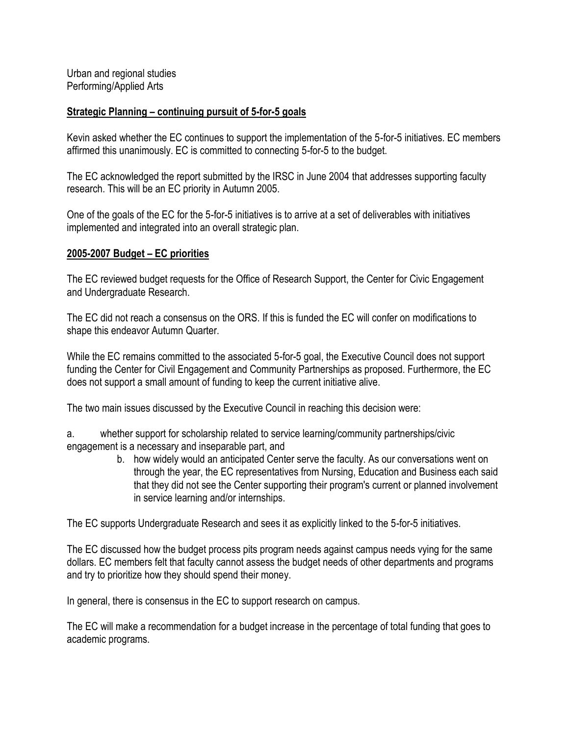Urban and regional studies Performing/Applied Arts

### **Strategic Planning – continuing pursuit of 5-for-5 goals**

Kevin asked whether the EC continues to support the implementation of the 5-for-5 initiatives. EC members affirmed this unanimously. EC is committed to connecting 5-for-5 to the budget.

The EC acknowledged the report submitted by the IRSC in June 2004 that addresses supporting faculty research. This will be an EC priority in Autumn 2005.

One of the goals of the EC for the 5-for-5 initiatives is to arrive at a set of deliverables with initiatives implemented and integrated into an overall strategic plan.

#### **2005-2007 Budget – EC priorities**

The EC reviewed budget requests for the Office of Research Support, the Center for Civic Engagement and Undergraduate Research.

The EC did not reach a consensus on the ORS. If this is funded the EC will confer on modifications to shape this endeavor Autumn Quarter.

While the EC remains committed to the associated 5-for-5 goal, the Executive Council does not support funding the Center for Civil Engagement and Community Partnerships as proposed. Furthermore, the EC does not support a small amount of funding to keep the current initiative alive.

The two main issues discussed by the Executive Council in reaching this decision were:

a. whether support for scholarship related to service learning/community partnerships/civic engagement is a necessary and inseparable part, and

> b. how widely would an anticipated Center serve the faculty. As our conversations went on through the year, the EC representatives from Nursing, Education and Business each said that they did not see the Center supporting their program's current or planned involvement in service learning and/or internships.

The EC supports Undergraduate Research and sees it as explicitly linked to the 5-for-5 initiatives.

The EC discussed how the budget process pits program needs against campus needs vying for the same dollars. EC members felt that faculty cannot assess the budget needs of other departments and programs and try to prioritize how they should spend their money.

In general, there is consensus in the EC to support research on campus.

The EC will make a recommendation for a budget increase in the percentage of total funding that goes to academic programs.